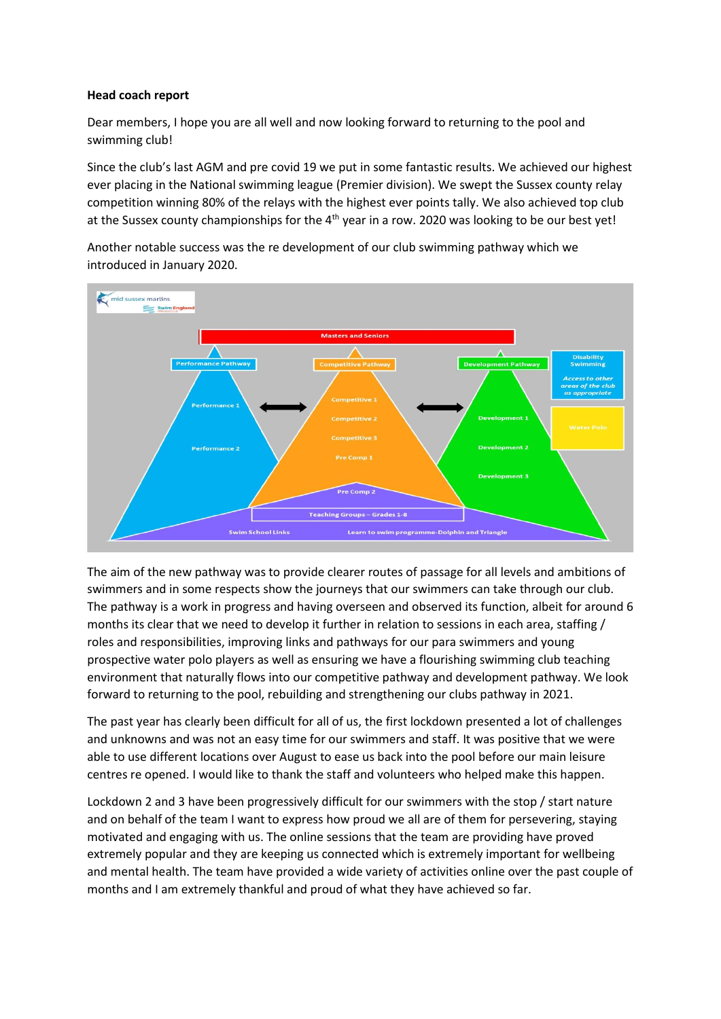### **Head coach report**

Dear members, I hope you are all well and now looking forward to returning to the pool and swimming club!

Since the club's last AGM and pre covid 19 we put in some fantastic results. We achieved our highest ever placing in the National swimming league (Premier division). We swept the Sussex county relay competition winning 80% of the relays with the highest ever points tally. We also achieved top club at the Sussex county championships for the 4<sup>th</sup> year in a row. 2020 was looking to be our best yet!

Another notable success was the re development of our club swimming pathway which we introduced in January 2020.



The aim of the new pathway was to provide clearer routes of passage for all levels and ambitions of swimmers and in some respects show the journeys that our swimmers can take through our club. The pathway is a work in progress and having overseen and observed its function, albeit for around 6 months its clear that we need to develop it further in relation to sessions in each area, staffing / roles and responsibilities, improving links and pathways for our para swimmers and young prospective water polo players as well as ensuring we have a flourishing swimming club teaching environment that naturally flows into our competitive pathway and development pathway. We look forward to returning to the pool, rebuilding and strengthening our clubs pathway in 2021.

The past year has clearly been difficult for all of us, the first lockdown presented a lot of challenges and unknowns and was not an easy time for our swimmers and staff. It was positive that we were able to use different locations over August to ease us back into the pool before our main leisure centres re opened. I would like to thank the staff and volunteers who helped make this happen.

Lockdown 2 and 3 have been progressively difficult for our swimmers with the stop / start nature and on behalf of the team I want to express how proud we all are of them for persevering, staying motivated and engaging with us. The online sessions that the team are providing have proved extremely popular and they are keeping us connected which is extremely important for wellbeing and mental health. The team have provided a wide variety of activities online over the past couple of months and I am extremely thankful and proud of what they have achieved so far.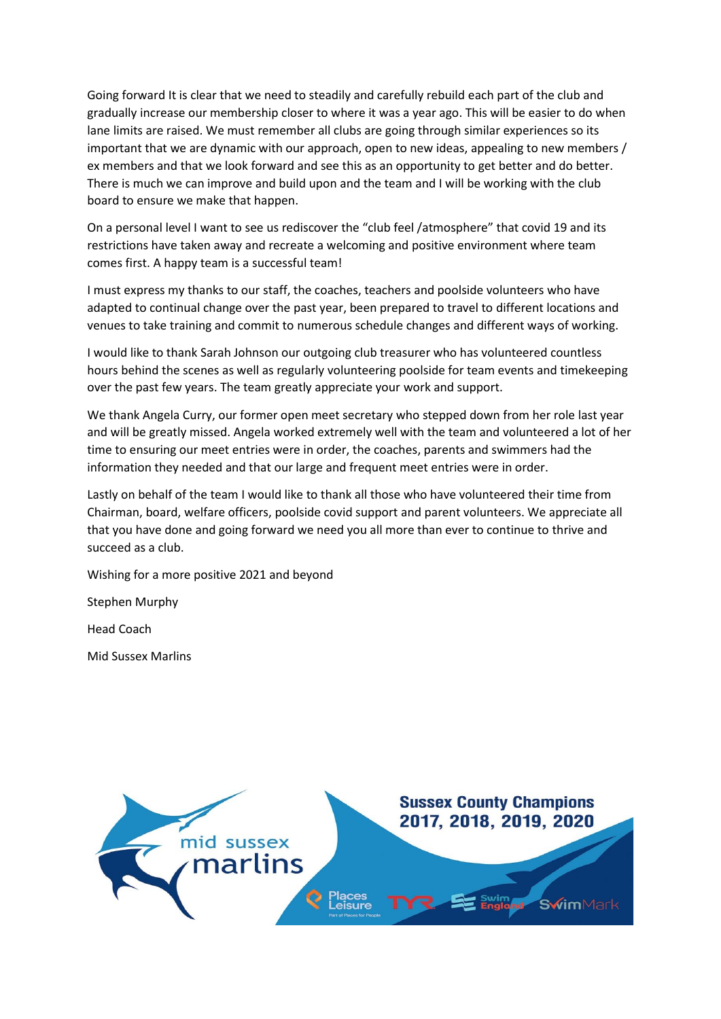Going forward It is clear that we need to steadily and carefully rebuild each part of the club and gradually increase our membership closer to where it was a year ago. This will be easier to do when lane limits are raised. We must remember all clubs are going through similar experiences so its important that we are dynamic with our approach, open to new ideas, appealing to new members / ex members and that we look forward and see this as an opportunity to get better and do better. There is much we can improve and build upon and the team and I will be working with the club board to ensure we make that happen.

On a personal level I want to see us rediscover the "club feel /atmosphere" that covid 19 and its restrictions have taken away and recreate a welcoming and positive environment where team comes first. A happy team is a successful team!

I must express my thanks to our staff, the coaches, teachers and poolside volunteers who have adapted to continual change over the past year, been prepared to travel to different locations and venues to take training and commit to numerous schedule changes and different ways of working.

I would like to thank Sarah Johnson our outgoing club treasurer who has volunteered countless hours behind the scenes as well as regularly volunteering poolside for team events and timekeeping over the past few years. The team greatly appreciate your work and support.

We thank Angela Curry, our former open meet secretary who stepped down from her role last year and will be greatly missed. Angela worked extremely well with the team and volunteered a lot of her time to ensuring our meet entries were in order, the coaches, parents and swimmers had the information they needed and that our large and frequent meet entries were in order.

Lastly on behalf of the team I would like to thank all those who have volunteered their time from Chairman, board, welfare officers, poolside covid support and parent volunteers. We appreciate all that you have done and going forward we need you all more than ever to continue to thrive and succeed as a club.

Wishing for a more positive 2021 and beyond

Stephen Murphy

Head Coach

Mid Sussex Marlins

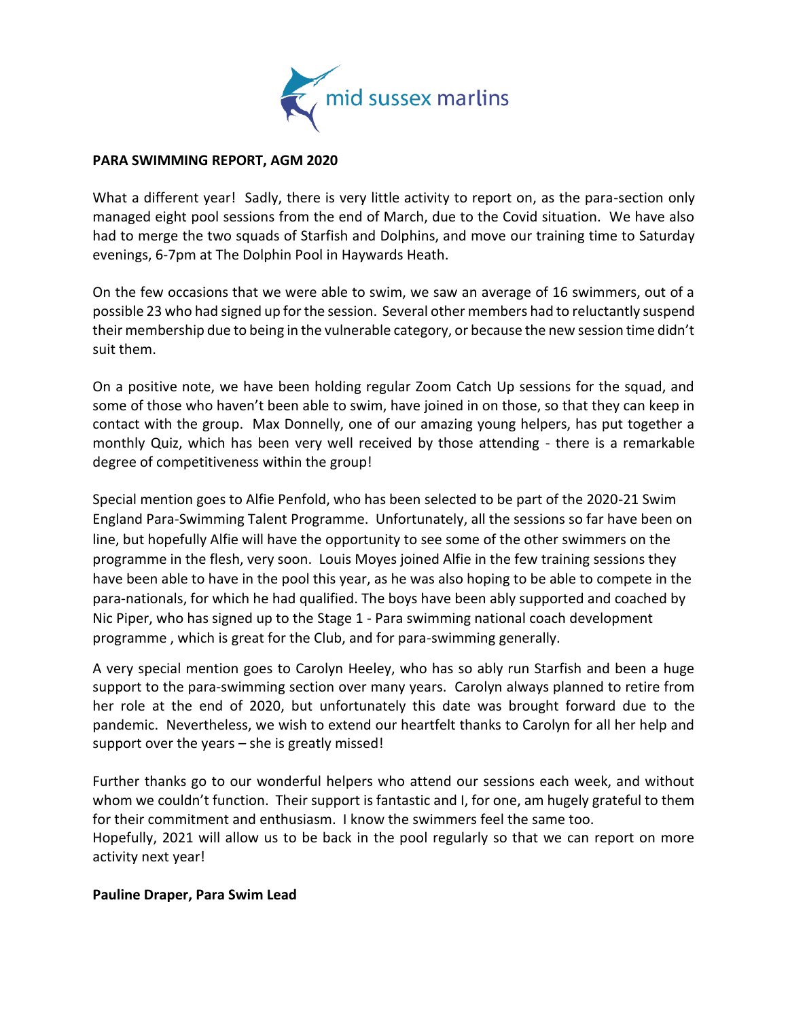

# **PARA SWIMMING REPORT, AGM 2020**

What a different year! Sadly, there is very little activity to report on, as the para-section only managed eight pool sessions from the end of March, due to the Covid situation. We have also had to merge the two squads of Starfish and Dolphins, and move our training time to Saturday evenings, 6-7pm at The Dolphin Pool in Haywards Heath.

On the few occasions that we were able to swim, we saw an average of 16 swimmers, out of a possible 23 who had signed up for the session. Several other members had to reluctantly suspend their membership due to being in the vulnerable category, or because the new session time didn't suit them.

On a positive note, we have been holding regular Zoom Catch Up sessions for the squad, and some of those who haven't been able to swim, have joined in on those, so that they can keep in contact with the group. Max Donnelly, one of our amazing young helpers, has put together a monthly Quiz, which has been very well received by those attending - there is a remarkable degree of competitiveness within the group!

Special mention goes to Alfie Penfold, who has been selected to be part of the 2020-21 Swim England Para-Swimming Talent Programme. Unfortunately, all the sessions so far have been on line, but hopefully Alfie will have the opportunity to see some of the other swimmers on the programme in the flesh, very soon. Louis Moyes joined Alfie in the few training sessions they have been able to have in the pool this year, as he was also hoping to be able to compete in the para-nationals, for which he had qualified. The boys have been ably supported and coached by Nic Piper, who has signed up to the Stage 1 - Para swimming national coach development programme , which is great for the Club, and for para-swimming generally.

A very special mention goes to Carolyn Heeley, who has so ably run Starfish and been a huge support to the para-swimming section over many years. Carolyn always planned to retire from her role at the end of 2020, but unfortunately this date was brought forward due to the pandemic. Nevertheless, we wish to extend our heartfelt thanks to Carolyn for all her help and support over the years – she is greatly missed!

Further thanks go to our wonderful helpers who attend our sessions each week, and without whom we couldn't function. Their support is fantastic and I, for one, am hugely grateful to them for their commitment and enthusiasm. I know the swimmers feel the same too. Hopefully, 2021 will allow us to be back in the pool regularly so that we can report on more activity next year!

### **Pauline Draper, Para Swim Lead**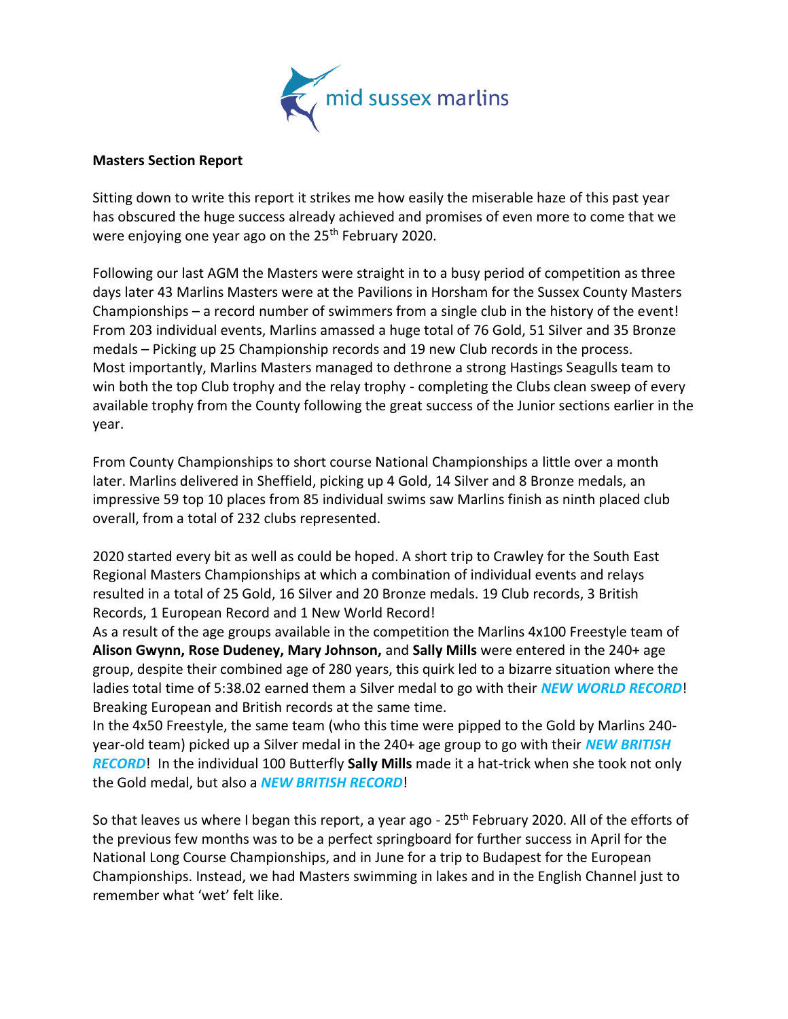

# **Masters Section Report**

Sitting down to write this report it strikes me how easily the miserable haze of this past year has obscured the huge success already achieved and promises of even more to come that we were enjoying one year ago on the 25<sup>th</sup> February 2020.

Following our last AGM the Masters were straight in to a busy period of competition as three days later 43 Marlins Masters were at the Pavilions in Horsham for the Sussex County Masters Championships – a record number of swimmers from a single club in the history of the event! From 203 individual events, Marlins amassed a huge total of 76 Gold, 51 Silver and 35 Bronze medals – Picking up 25 Championship records and 19 new Club records in the process. Most importantly, Marlins Masters managed to dethrone a strong Hastings Seagulls team to win both the top Club trophy and the relay trophy - completing the Clubs clean sweep of every available trophy from the County following the great success of the Junior sections earlier in the year.

From County Championships to short course National Championships a little over a month later. Marlins delivered in Sheffield, picking up 4 Gold, 14 Silver and 8 Bronze medals, an impressive 59 top 10 places from 85 individual swims saw Marlins finish as ninth placed club overall, from a total of 232 clubs represented.

2020 started every bit as well as could be hoped. A short trip to Crawley for the South East Regional Masters Championships at which a combination of individual events and relays resulted in a total of 25 Gold, 16 Silver and 20 Bronze medals. 19 Club records, 3 British Records, 1 European Record and 1 New World Record!

As a result of the age groups available in the competition the Marlins 4x100 Freestyle team of **Alison Gwynn, Rose Dudeney, Mary Johnson,** and **Sally Mills** were entered in the 240+ age group, despite their combined age of 280 years, this quirk led to a bizarre situation where the ladies total time of 5:38.02 earned them a Silver medal to go with their *NEW WORLD RECORD*! Breaking European and British records at the same time.

In the 4x50 Freestyle, the same team (who this time were pipped to the Gold by Marlins 240 year-old team) picked up a Silver medal in the 240+ age group to go with their *NEW BRITISH RECORD*! In the individual 100 Butterfly **Sally Mills** made it a hat-trick when she took not only the Gold medal, but also a *NEW BRITISH RECORD*!

So that leaves us where I began this report, a year ago - 25<sup>th</sup> February 2020. All of the efforts of the previous few months was to be a perfect springboard for further success in April for the National Long Course Championships, and in June for a trip to Budapest for the European Championships. Instead, we had Masters swimming in lakes and in the English Channel just to remember what 'wet' felt like.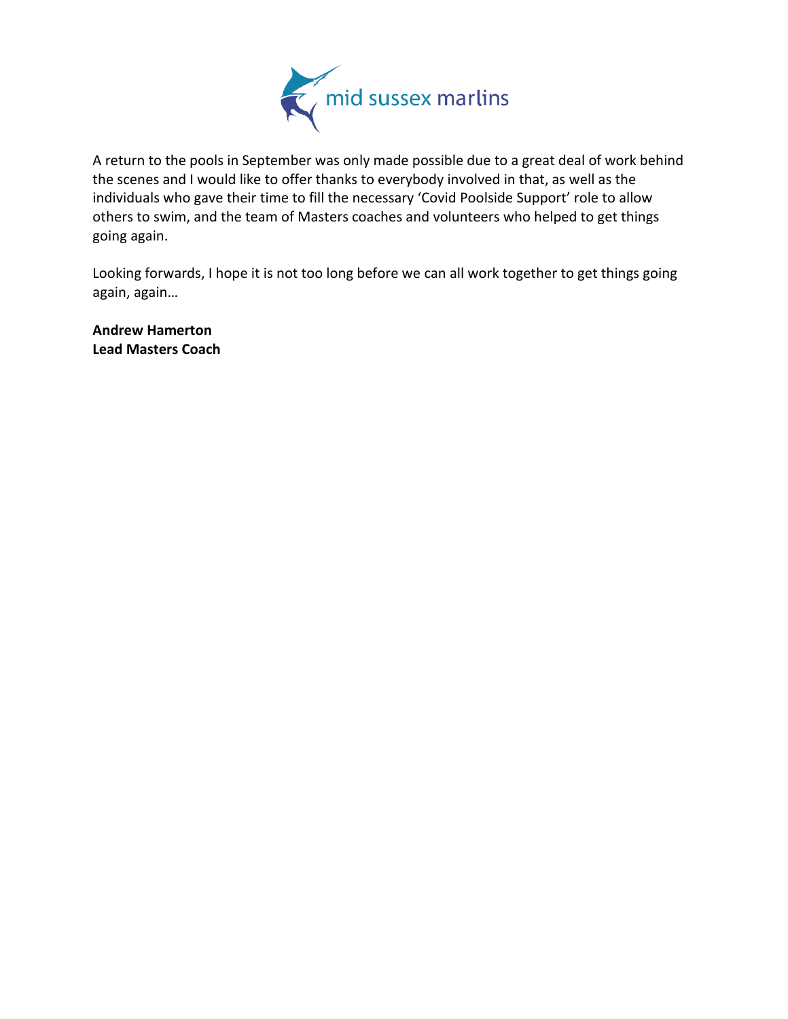

A return to the pools in September was only made possible due to a great deal of work behind the scenes and I would like to offer thanks to everybody involved in that, as well as the individuals who gave their time to fill the necessary 'Covid Poolside Support' role to allow others to swim, and the team of Masters coaches and volunteers who helped to get things going again.

Looking forwards, I hope it is not too long before we can all work together to get things going again, again…

**Andrew Hamerton Lead Masters Coach**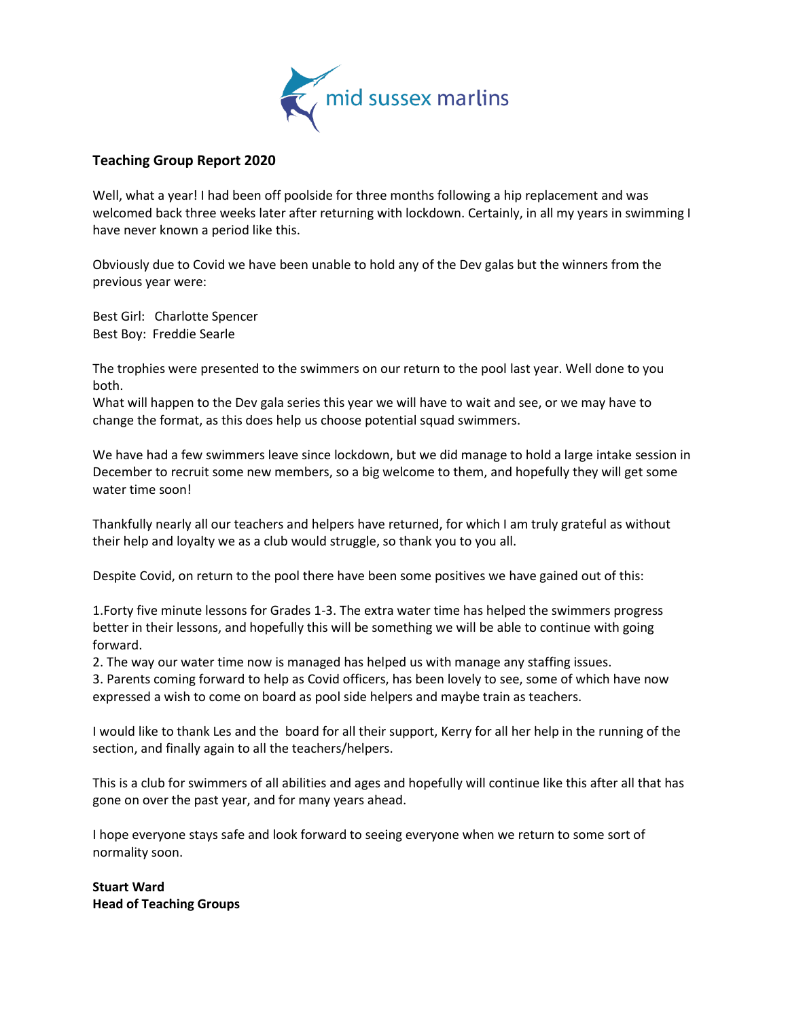

# **Teaching Group Report 2020**

Well, what a year! I had been off poolside for three months following a hip replacement and was welcomed back three weeks later after returning with lockdown. Certainly, in all my years in swimming I have never known a period like this.

Obviously due to Covid we have been unable to hold any of the Dev galas but the winners from the previous year were:

Best Girl: Charlotte Spencer Best Boy: Freddie Searle

The trophies were presented to the swimmers on our return to the pool last year. Well done to you both.

What will happen to the Dev gala series this year we will have to wait and see, or we may have to change the format, as this does help us choose potential squad swimmers.

We have had a few swimmers leave since lockdown, but we did manage to hold a large intake session in December to recruit some new members, so a big welcome to them, and hopefully they will get some water time soon!

Thankfully nearly all our teachers and helpers have returned, for which I am truly grateful as without their help and loyalty we as a club would struggle, so thank you to you all.

Despite Covid, on return to the pool there have been some positives we have gained out of this:

1.Forty five minute lessons for Grades 1-3. The extra water time has helped the swimmers progress better in their lessons, and hopefully this will be something we will be able to continue with going forward.

2. The way our water time now is managed has helped us with manage any staffing issues.

3. Parents coming forward to help as Covid officers, has been lovely to see, some of which have now expressed a wish to come on board as pool side helpers and maybe train as teachers.

I would like to thank Les and the board for all their support, Kerry for all her help in the running of the section, and finally again to all the teachers/helpers.

This is a club for swimmers of all abilities and ages and hopefully will continue like this after all that has gone on over the past year, and for many years ahead.

I hope everyone stays safe and look forward to seeing everyone when we return to some sort of normality soon.

**Stuart Ward Head of Teaching Groups**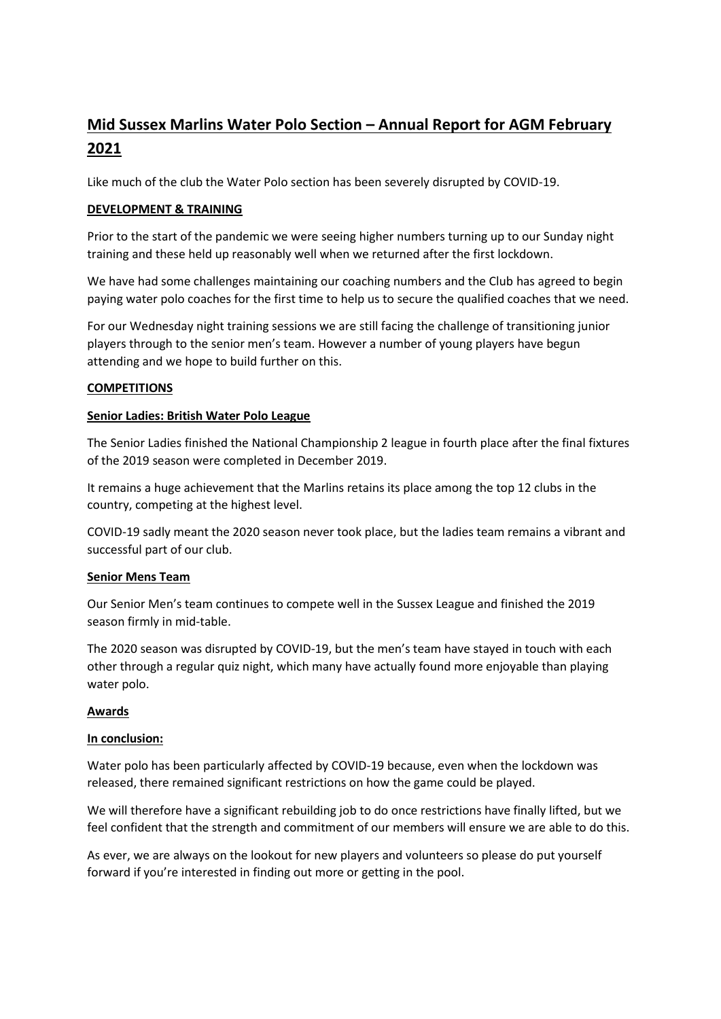# **Mid Sussex Marlins Water Polo Section – Annual Report for AGM February 2021**

Like much of the club the Water Polo section has been severely disrupted by COVID-19.

# **DEVELOPMENT & TRAINING**

Prior to the start of the pandemic we were seeing higher numbers turning up to our Sunday night training and these held up reasonably well when we returned after the first lockdown.

We have had some challenges maintaining our coaching numbers and the Club has agreed to begin paying water polo coaches for the first time to help us to secure the qualified coaches that we need.

For our Wednesday night training sessions we are still facing the challenge of transitioning junior players through to the senior men's team. However a number of young players have begun attending and we hope to build further on this.

# **COMPETITIONS**

### **Senior Ladies: British Water Polo League**

The Senior Ladies finished the National Championship 2 league in fourth place after the final fixtures of the 2019 season were completed in December 2019.

It remains a huge achievement that the Marlins retains its place among the top 12 clubs in the country, competing at the highest level.

COVID-19 sadly meant the 2020 season never took place, but the ladies team remains a vibrant and successful part of our club.

### **Senior Mens Team**

Our Senior Men's team continues to compete well in the Sussex League and finished the 2019 season firmly in mid-table.

The 2020 season was disrupted by COVID-19, but the men's team have stayed in touch with each other through a regular quiz night, which many have actually found more enjoyable than playing water polo.

# **Awards**

### **In conclusion:**

Water polo has been particularly affected by COVID-19 because, even when the lockdown was released, there remained significant restrictions on how the game could be played.

We will therefore have a significant rebuilding job to do once restrictions have finally lifted, but we feel confident that the strength and commitment of our members will ensure we are able to do this.

As ever, we are always on the lookout for new players and volunteers so please do put yourself forward if you're interested in finding out more or getting in the pool.